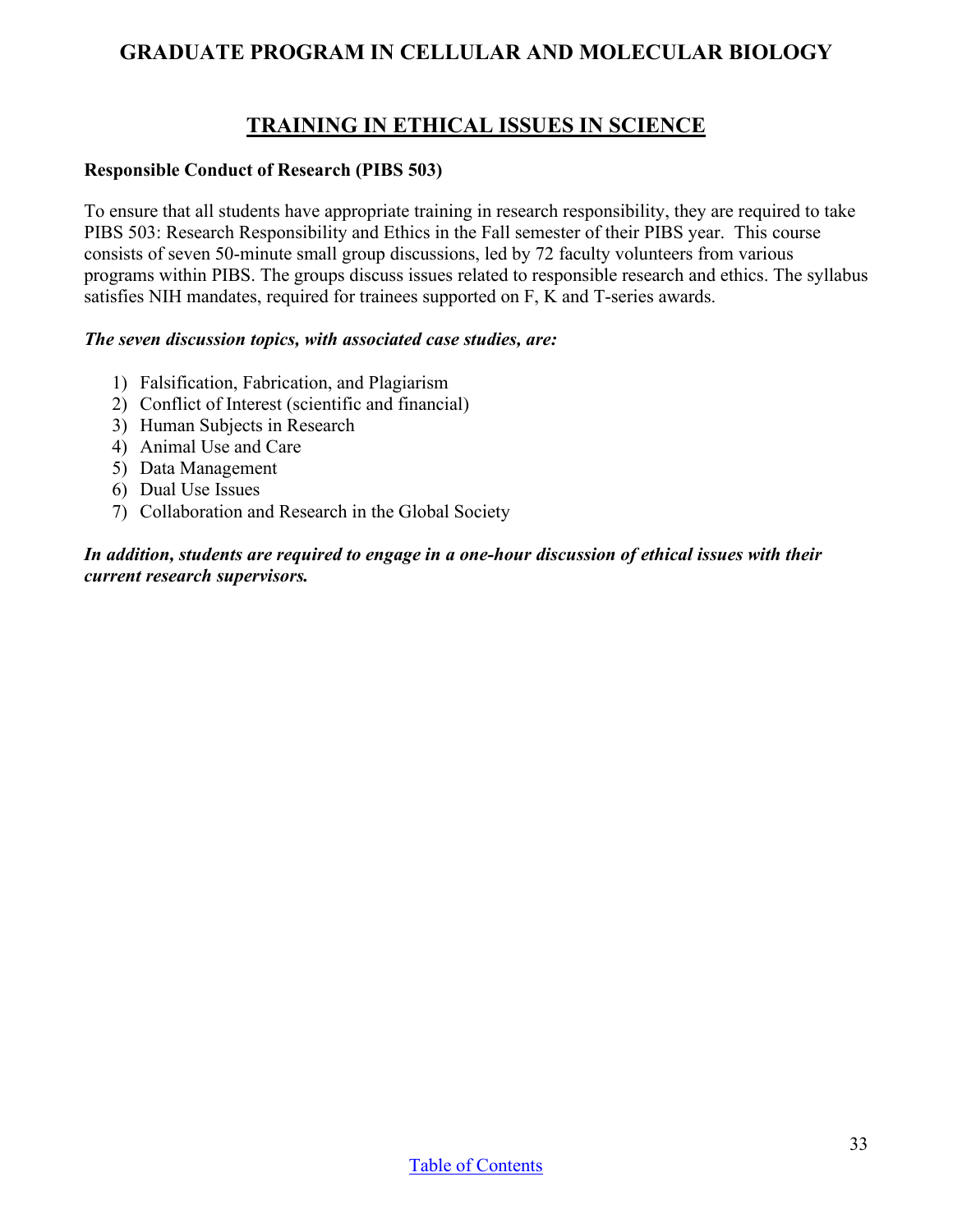## **GRADUATE PROGRAM IN CELLULAR AND MOLECULAR BIOLOGY**

# **TRAINING IN ETHICAL ISSUES IN SCIENCE**

#### **Responsible Conduct of Research (PIBS 503)**

To ensure that all students have appropriate training in research responsibility, they are required to take PIBS 503: Research Responsibility and Ethics in the Fall semester of their PIBS year. This course consists of seven 50-minute small group discussions, led by 72 faculty volunteers from various programs within PIBS. The groups discuss issues related to responsible research and ethics. The syllabus satisfies NIH mandates, required for trainees supported on F, K and T-series awards.

#### *The seven discussion topics, with associated case studies, are:*

- 1) Falsification, Fabrication, and Plagiarism
- 2) Conflict of Interest (scientific and financial)
- 3) Human Subjects in Research
- 4) Animal Use and Care
- 5) Data Management
- 6) Dual Use Issues
- 7) Collaboration and Research in the Global Society

*In addition, students are required to engage in a one-hour discussion of ethical issues with their current research supervisors.*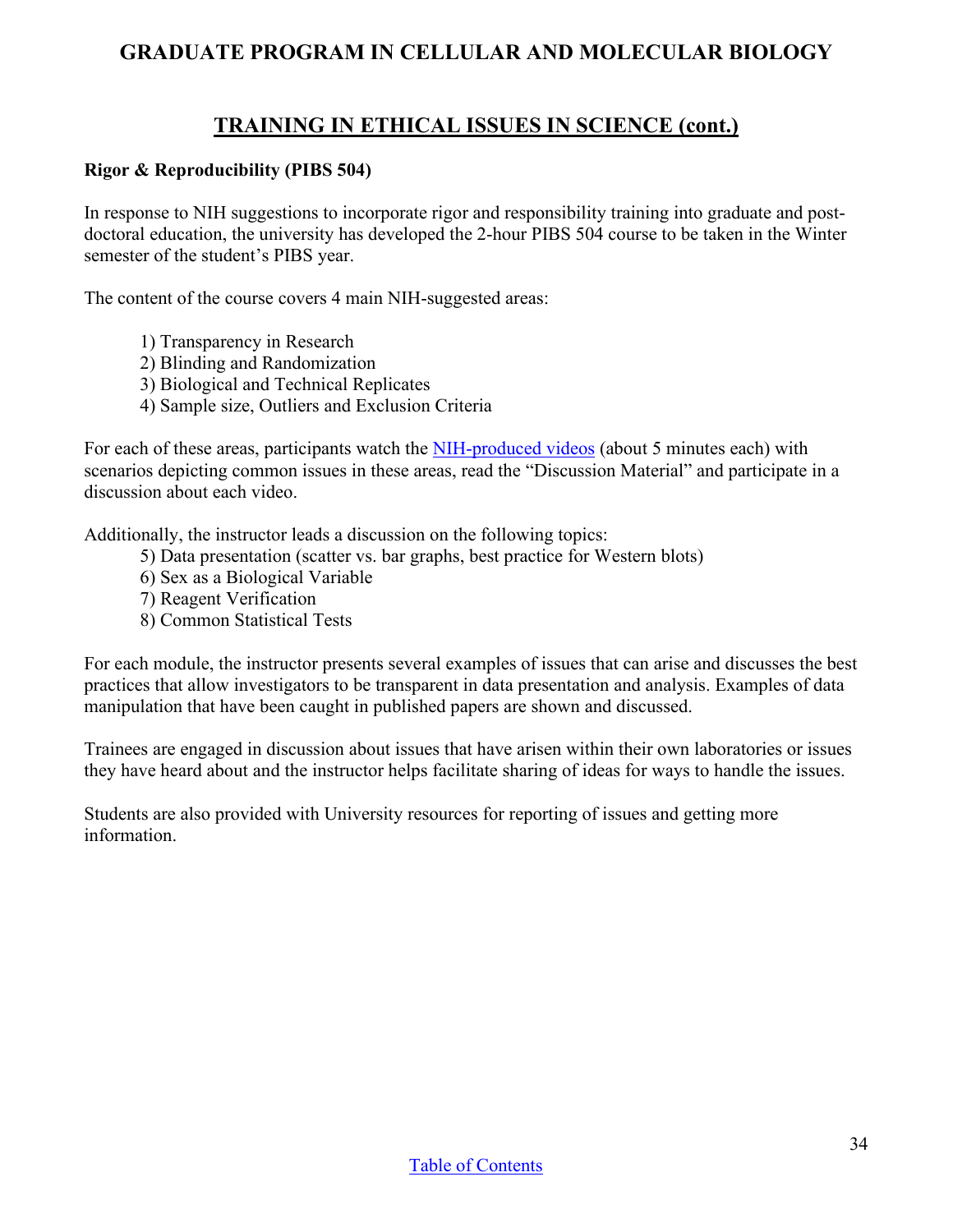### **GRADUATE PROGRAM IN CELLULAR AND MOLECULAR BIOLOGY**

### **TRAINING IN ETHICAL ISSUES IN SCIENCE (cont.)**

#### **Rigor & Reproducibility (PIBS 504)**

In response to NIH suggestions to incorporate rigor and responsibility training into graduate and postdoctoral education, the university has developed the 2-hour PIBS 504 course to be taken in the Winter semester of the student's PIBS year.

The content of the course covers 4 main NIH-suggested areas:

- 1) Transparency in Research
- 2) Blinding and Randomization
- 3) Biological and Technical Replicates
- 4) Sample size, Outliers and Exclusion Criteria

For each of these areas, participants watch the [NIH-produced videos](https://www.nih.gov/research-training/rigor-reproducibility/training) (about 5 minutes each) with scenarios depicting common issues in these areas, read the "Discussion Material" and participate in a discussion about each video.

Additionally, the instructor leads a discussion on the following topics:

- 5) Data presentation (scatter vs. bar graphs, best practice for Western blots)
- 6) Sex as a Biological Variable
- 7) Reagent Verification
- 8) Common Statistical Tests

For each module, the instructor presents several examples of issues that can arise and discusses the best practices that allow investigators to be transparent in data presentation and analysis. Examples of data manipulation that have been caught in published papers are shown and discussed.

Trainees are engaged in discussion about issues that have arisen within their own laboratories or issues they have heard about and the instructor helps facilitate sharing of ideas for ways to handle the issues.

Students are also provided with University resources for reporting of issues and getting more information.